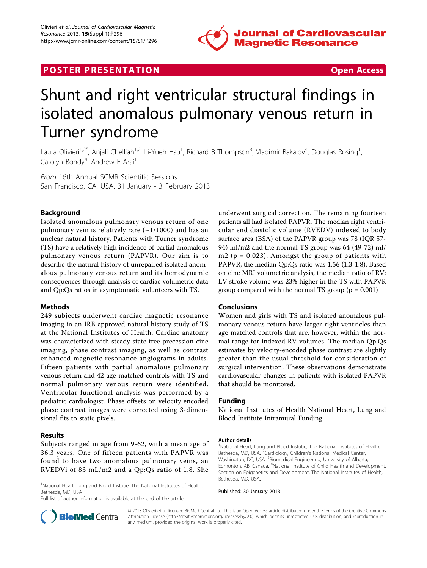

## **POSTER PRESENTATION CONSUMING THE SECOND CONSUMING THE SECOND CONSUMING THE SECOND CONSUMING THE SECOND CONSUMING THE SECOND CONSUMING THE SECOND CONSUMING THE SECOND CONSUMING THE SECOND CONSUMING THE SECOND CONSUMING**

# Shunt and right ventricular structural findings in isolated anomalous pulmonary venous return in Turner syndrome

Laura Olivieri<sup>1,2\*</sup>, Anjali Chelliah<sup>1,2</sup>, Li-Yueh Hsu<sup>1</sup>, Richard B Thompson<sup>3</sup>, Vladimir Bakalov<sup>4</sup>, Douglas Rosing<sup>1</sup> , Carolyn Bondy<sup>4</sup>, Andrew E Arai<sup>1</sup>

From 16th Annual SCMR Scientific Sessions San Francisco, CA, USA. 31 January - 3 February 2013

### Background

Isolated anomalous pulmonary venous return of one pulmonary vein is relatively rare  $(-1/1000)$  and has an unclear natural history. Patients with Turner syndrome (TS) have a relatively high incidence of partial anomalous pulmonary venous return (PAPVR). Our aim is to describe the natural history of unrepaired isolated anomalous pulmonary venous return and its hemodynamic consequences through analysis of cardiac volumetric data and Qp:Qs ratios in asymptomatic volunteers with TS.

#### Methods

249 subjects underwent cardiac magnetic resonance imaging in an IRB-approved natural history study of TS at the National Institutes of Health. Cardiac anatomy was characterized with steady-state free precession cine imaging, phase contrast imaging, as well as contrast enhanced magnetic resonance angiograms in adults. Fifteen patients with partial anomalous pulmonary venous return and 42 age-matched controls with TS and normal pulmonary venous return were identified. Ventricular functional analysis was performed by a pediatric cardiologist. Phase offsets on velocity encoded phase contrast images were corrected using 3-dimensional fits to static pixels.

#### Results

Subjects ranged in age from 9-62, with a mean age of 36.3 years. One of fifteen patients with PAPVR was found to have two anomalous pulmonary veins, an RVEDVi of 83 mL/m2 and a Qp:Qs ratio of 1.8. She

<sup>1</sup>National Heart, Lung and Blood Instutie, The National Institutes of Health, Bethesda, MD, USA

Full list of author information is available at the end of the article

underwent surgical correction. The remaining fourteen patients all had isolated PAPVR. The median right ventricular end diastolic volume (RVEDV) indexed to body surface area (BSA) of the PAPVR group was 78 (IQR 57- 94) ml/m2 and the normal TS group was 64 (49-72) ml/ m2 ( $p = 0.023$ ). Amongst the group of patients with PAPVR, the median Qp:Qs ratio was 1.56 (1.3-1.8). Based on cine MRI volumetric analysis, the median ratio of RV: LV stroke volume was 23% higher in the TS with PAPVR group compared with the normal TS group ( $p = 0.001$ )

#### Conclusions

Women and girls with TS and isolated anomalous pulmonary venous return have larger right ventricles than age matched controls that are, however, within the normal range for indexed RV volumes. The median Qp:Qs estimates by velocity-encoded phase contrast are slightly greater than the usual threshold for consideration of surgical intervention. These observations demonstrate cardiovascular changes in patients with isolated PAPVR that should be monitored.

#### Funding

National Institutes of Health National Heart, Lung and Blood Institute Intramural Funding.

#### Author details

<sup>1</sup>National Heart, Lung and Blood Instutie, The National Institutes of Health, Bethesda, MD, USA. <sup>2</sup>Cardiology, Children's National Medical Center Washington, DC, USA. <sup>3</sup>Biomedical Engineering, University of Alberta, Edmonton, AB, Canada. <sup>4</sup>National Institute of Child Health and Development Section on Epigenetics and Development, The National Institutes of Health, Bethesda, MD, USA.

Published: 30 January 2013



© 2013 Olivieri et al; licensee BioMed Central Ltd. This is an Open Access article distributed under the terms of the Creative Commons Attribution License [\(http://creativecommons.org/licenses/by/2.0](http://creativecommons.org/licenses/by/2.0)), which permits unrestricted use, distribution, and reproduction in any medium, provided the original work is properly cited.